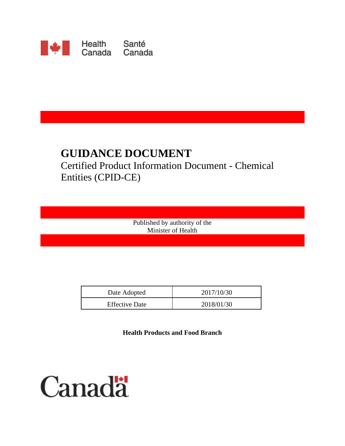

# **GUIDANCE DOCUMENT**

# Certified Product Information Document - Chemical Entities (CPID-CE)

Published by authority of the Minister of Health

| Date Adopted          | 2017/10/30 |
|-----------------------|------------|
| <b>Effective Date</b> | 2018/01/30 |

**Health Products and Food Branch** 

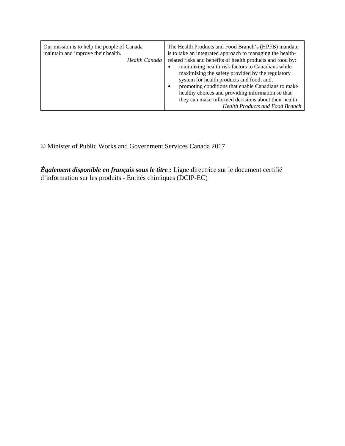| Our mission is to help the people of Canada<br>maintain and improve their health.<br>Health Canada<br>$\bullet$<br>$\bullet$ | The Health Products and Food Branch's (HPFB) mandate<br>is to take an integrated approach to managing the health-<br>related risks and benefits of health products and food by:<br>minimizing health risk factors to Canadians while<br>maximizing the safety provided by the regulatory<br>system for health products and food; and,<br>promoting conditions that enable Canadians to make<br>healthy choices and providing information so that<br>they can make informed decisions about their health.<br><b>Health Products and Food Branch</b> |
|------------------------------------------------------------------------------------------------------------------------------|----------------------------------------------------------------------------------------------------------------------------------------------------------------------------------------------------------------------------------------------------------------------------------------------------------------------------------------------------------------------------------------------------------------------------------------------------------------------------------------------------------------------------------------------------|
|------------------------------------------------------------------------------------------------------------------------------|----------------------------------------------------------------------------------------------------------------------------------------------------------------------------------------------------------------------------------------------------------------------------------------------------------------------------------------------------------------------------------------------------------------------------------------------------------------------------------------------------------------------------------------------------|

© Minister of Public Works and Government Services Canada 2017

*Également disponible en français sous le titre :* Ligne directrice sur le document certifié d'information sur les produits - Entités chimiques (DCIP-EC)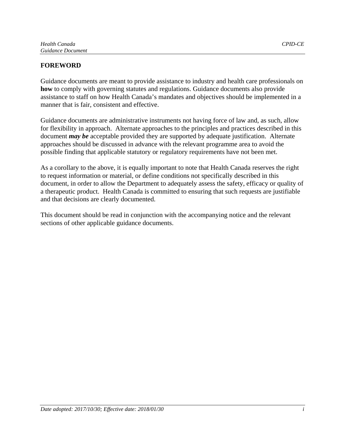# **FOREWORD**

Guidance documents are meant to provide assistance to industry and health care professionals on **how** to comply with governing statutes and regulations. Guidance documents also provide assistance to staff on how Health Canada's mandates and objectives should be implemented in a manner that is fair, consistent and effective.

Guidance documents are administrative instruments not having force of law and, as such, allow for flexibility in approach. Alternate approaches to the principles and practices described in this document *may be* acceptable provided they are supported by adequate justification. Alternate approaches should be discussed in advance with the relevant programme area to avoid the possible finding that applicable statutory or regulatory requirements have not been met.

As a corollary to the above, it is equally important to note that Health Canada reserves the right to request information or material, or define conditions not specifically described in this document, in order to allow the Department to adequately assess the safety, efficacy or quality of a therapeutic product. Health Canada is committed to ensuring that such requests are justifiable and that decisions are clearly documented.

This document should be read in conjunction with the accompanying notice and the relevant sections of other applicable guidance documents.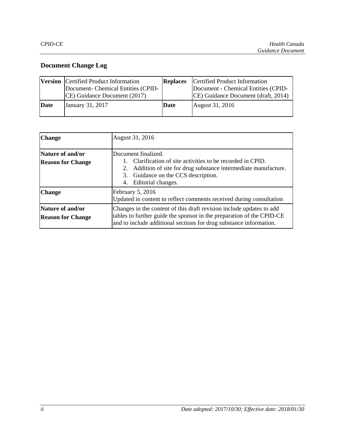# **Document Change Log**

|      | <b>Version</b> Certified Product Information<br>Document- Chemical Entities (CPID-<br>CE) Guidance Document (2017) | <b>Replaces</b> | Certified Product Information<br>Document - Chemical Entities (CPID-<br>CE) Guidance Document (draft, 2014) |
|------|--------------------------------------------------------------------------------------------------------------------|-----------------|-------------------------------------------------------------------------------------------------------------|
| Date | January 31, 2017                                                                                                   | Date            | August 31, 2016                                                                                             |

| <b>Change</b>                                       | August 31, 2016                                                                                                                                                                                                        |  |
|-----------------------------------------------------|------------------------------------------------------------------------------------------------------------------------------------------------------------------------------------------------------------------------|--|
| Nature of and/or<br><b>Reason for Change</b>        | Document finalized.<br>1. Clarification of site activities to be recorded in CPID.<br>2. Addition of site for drug substance intermediate manufacture.<br>3. Guidance on the CCS description.<br>4. Editorial changes. |  |
| <b>Change</b>                                       | February 5, 2016<br>Updated in content to reflect comments received during consultation                                                                                                                                |  |
| <b>Nature of and/or</b><br><b>Reason for Change</b> | Changes in the content of this draft revision include updates to add<br>tables to further guide the sponsor in the preparation of the CPID-CE<br>and to include additional sections for drug substance information.    |  |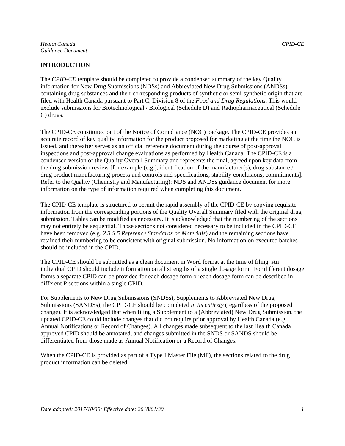The *CPID-CE* template should be completed to provide a condensed summary of the key Quality information for New Drug Submissions (NDSs) and Abbreviated New Drug Submissions (ANDSs) containing drug substances and their corresponding products of synthetic or semi-synthetic origin that are filed with Health Canada pursuant to Part C, Division 8 of the *Food and Drug Regulations*. This would exclude submissions for Biotechnological / Biological (Schedule D) and Radiopharmaceutical (Schedule C) drugs.

The CPID-CE constitutes part of the Notice of Compliance (NOC) package. The CPID-CE provides an accurate record of key quality information for the product proposed for marketing at the time the NOC is issued, and thereafter serves as an official reference document during the course of post-approval inspections and post-approval change evaluations as performed by Health Canada. The CPID-CE is a condensed version of the Quality Overall Summary and represents the final, agreed upon key data from the drug submission review [for example (e.g.), identification of the manufacturer(s), drug substance / drug product manufacturing process and controls and specifications, stability conclusions, commitments]. Refer to the Quality (Chemistry and Manufacturing): NDS and ANDSs guidance document for more information on the type of information required when completing this document.

The CPID-CE template is structured to permit the rapid assembly of the CPID-CE by copying requisite information from the corresponding portions of the Quality Overall Summary filed with the original drug submission. Tables can be modified as necessary. It is acknowledged that the numbering of the sections may not entirely be sequential. Those sections not considered necessary to be included in the CPID-CE have been removed (e.g. *2.3.S.5 Reference Standards or Materials*) and the remaining sections have retained their numbering to be consistent with original submission. No information on executed batches should be included in the CPID.

The CPID-CE should be submitted as a clean document in Word format at the time of filing. An individual CPID should include information on all strengths of a single dosage form. For different dosage forms a separate CPID can be provided for each dosage form or each dosage form can be described in different P sections within a single CPID.

For Supplements to New Drug Submissions (SNDSs), Supplements to Abbreviated New Drug Submissions (SANDSs), the CPID-CE should be completed *in its entirety* (regardless of the proposed change). It is acknowledged that when filing a Supplement to a (Abbreviated) New Drug Submission, the updated CPID-CE could include changes that did not require prior approval by Health Canada (e.g. Annual Notifications or Record of Changes). All changes made subsequent to the last Health Canada approved CPID should be annotated, and changes submitted in the SNDS or SANDS should be differentiated from those made as Annual Notification or a Record of Changes.

When the CPID-CE is provided as part of a Type I Master File (MF), the sections related to the drug product information can be deleted.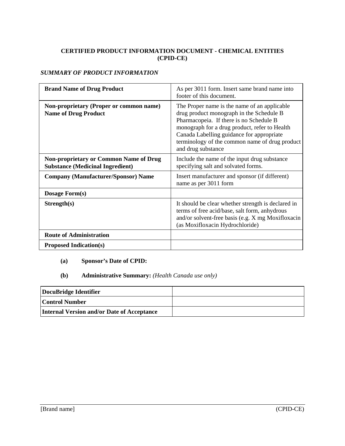# **CERTIFIED PRODUCT INFORMATION DOCUMENT - CHEMICAL ENTITIES (CPID-CE)**

# *SUMMARY OF PRODUCT INFORMATION*

| <b>Brand Name of Drug Product</b>                                                        | As per 3011 form. Insert same brand name into<br>footer of this document.                                                                                                                                                                                                                                 |
|------------------------------------------------------------------------------------------|-----------------------------------------------------------------------------------------------------------------------------------------------------------------------------------------------------------------------------------------------------------------------------------------------------------|
| Non-proprietary (Proper or common name)<br><b>Name of Drug Product</b>                   | The Proper name is the name of an applicable<br>drug product monograph in the Schedule B<br>Pharmacopeia. If there is no Schedule B<br>monograph for a drug product, refer to Health<br>Canada Labelling guidance for appropriate<br>terminology of the common name of drug product<br>and drug substance |
| <b>Non-proprietary or Common Name of Drug</b><br><b>Substance (Medicinal Ingredient)</b> | Include the name of the input drug substance<br>specifying salt and solvated forms.                                                                                                                                                                                                                       |
| <b>Company (Manufacturer/Sponsor) Name</b>                                               | Insert manufacturer and sponsor (if different)<br>name as per 3011 form                                                                                                                                                                                                                                   |
| Dosage Form(s)                                                                           |                                                                                                                                                                                                                                                                                                           |
| Strength(s)                                                                              | It should be clear whether strength is declared in<br>terms of free acid/base, salt form, anhydrous<br>and/or solvent-free basis (e.g. X mg Moxifloxacin<br>(as Moxifloxacin Hydrochloride)                                                                                                               |
| <b>Route of Administration</b>                                                           |                                                                                                                                                                                                                                                                                                           |
| <b>Proposed Indication(s)</b>                                                            |                                                                                                                                                                                                                                                                                                           |

# **(a) Sponsor's Date of CPID:**

# **(b) Administrative Summary:** *(Health Canada use only)*

| DocuBridge Identifier                      |  |
|--------------------------------------------|--|
| Control Number                             |  |
| Internal Version and/or Date of Acceptance |  |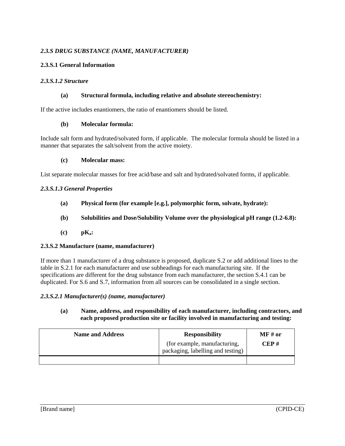# *2.3.S DRUG SUBSTANCE (NAME, MANUFACTURER)*

# **2.3.S.1 General Information**

## *2.3.S.1.2 Structure*

## **(a) Structural formula, including relative and absolute stereochemistry:**

If the active includes enantiomers, the ratio of enantiomers should be listed.

## **(b) Molecular formula:**

Include salt form and hydrated/solvated form, if applicable. The molecular formula should be listed in a manner that separates the salt/solvent from the active moiety.

#### **(c) Molecular mass:**

List separate molecular masses for free acid/base and salt and hydrated/solvated forms, if applicable.

## *2.3.S.1.3 General Properties*

- **(a) Physical form (for example [e.g.], polymorphic form, solvate, hydrate):**
- **(b) Solubilities and Dose/Solubility Volume over the physiological pH range (1.2-6.8):**
- **(c) pKa:**

## **2.3.S.2 Manufacture (name, manufacturer)**

If more than 1 manufacturer of a drug substance is proposed, duplicate S.2 or add additional lines to the table in S.2.1 for each manufacturer and use subheadings for each manufacturing site. If the specifications are different for the drug substance from each manufacturer, the section S.4.1 can be duplicated. For S.6 and S.7, information from all sources can be consolidated in a single section.

## *2.3.S.2.1 Manufacturer(s) (name, manufacturer)*

## **(a) Name, address, and responsibility of each manufacturer, including contractors, and each proposed production site or facility involved in manufacturing and testing:**

| <b>Name and Address</b> | <b>Responsibility</b>                                             | $\bf{M}$ F# or |
|-------------------------|-------------------------------------------------------------------|----------------|
|                         | (for example, manufacturing,<br>packaging, labelling and testing) | CEP#           |
|                         |                                                                   |                |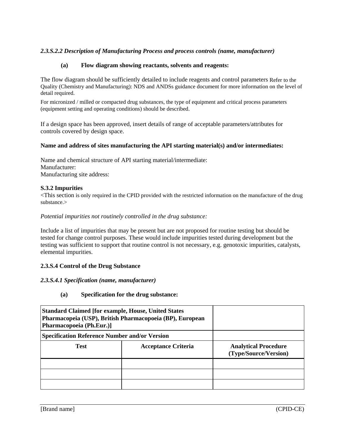# *2.3.S.2.2 Description of Manufacturing Process and process controls (name, manufacturer)*

### **(a) Flow diagram showing reactants, solvents and reagents:**

The flow diagram should be sufficiently detailed to include reagents and control parameters Refer to the Quality (Chemistry and Manufacturing): NDS and ANDSs guidance document for more information on the level of detail required.

For micronized / milled or compacted drug substances, the type of equipment and critical process parameters (equipment setting and operating conditions) should be described.

If a design space has been approved, insert details of range of acceptable parameters/attributes for controls covered by design space.

#### **Name and address of sites manufacturing the API starting material(s) and/or intermediates:**

Name and chemical structure of API starting material/intermediate: Manufacturer: Manufacturing site address:

#### **S.3.2 Impurities**

<This section is only required in the CPID provided with the restricted information on the manufacture of the drug substance.>

#### *Potential impurities not routinely controlled in the drug substance:*

Include a list of impurities that may be present but are not proposed for routine testing but should be tested for change control purposes. These would include impurities tested during development but the testing was sufficient to support that routine control is not necessary, e.g. genotoxic impurities, catalysts, elemental impurities.

#### **2.3.S.4 Control of the Drug Substance**

#### *2.3.S.4.1 Specification (name, manufacturer)*

**(a) Specification for the drug substance:**

| <b>Standard Claimed [for example, House, United States</b><br>Pharmacopeia (USP), British Pharmacopoeia (BP), European<br>Pharmacopoeia (Ph.Eur.)] |                            |                                                      |
|----------------------------------------------------------------------------------------------------------------------------------------------------|----------------------------|------------------------------------------------------|
| <b>Specification Reference Number and/or Version</b>                                                                                               |                            |                                                      |
| <b>Test</b>                                                                                                                                        | <b>Acceptance Criteria</b> | <b>Analytical Procedure</b><br>(Type/Source/Version) |
|                                                                                                                                                    |                            |                                                      |
|                                                                                                                                                    |                            |                                                      |
|                                                                                                                                                    |                            |                                                      |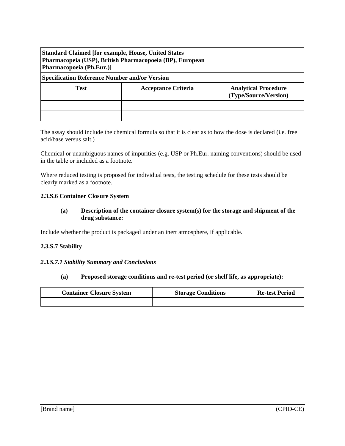| <b>Standard Claimed [for example, House, United States</b><br>Pharmacopeia (USP), British Pharmacopoeia (BP), European<br>Pharmacopoeia (Ph.Eur.)] |                            |                                                      |
|----------------------------------------------------------------------------------------------------------------------------------------------------|----------------------------|------------------------------------------------------|
| <b>Specification Reference Number and/or Version</b>                                                                                               |                            |                                                      |
| <b>Test</b>                                                                                                                                        | <b>Acceptance Criteria</b> | <b>Analytical Procedure</b><br>(Type/Source/Version) |
|                                                                                                                                                    |                            |                                                      |
|                                                                                                                                                    |                            |                                                      |

The assay should include the chemical formula so that it is clear as to how the dose is declared (i.e. free acid/base versus salt.)

Chemical or unambiguous names of impurities (e.g. USP or Ph.Eur. naming conventions) should be used in the table or included as a footnote.

Where reduced testing is proposed for individual tests, the testing schedule for these tests should be clearly marked as a footnote.

#### **2.3.S.6 Container Closure System**

## **(a) Description of the container closure system(s) for the storage and shipment of the drug substance:**

Include whether the product is packaged under an inert atmosphere, if applicable.

## **2.3.S.7 Stability**

#### *2.3.S.7.1 Stability Summary and Conclusions*

### **(a) Proposed storage conditions and re-test period (or shelf life, as appropriate):**

| <b>Container Closure System</b> | <b>Storage Conditions</b> | <b>Re-test Period</b> |
|---------------------------------|---------------------------|-----------------------|
|                                 |                           |                       |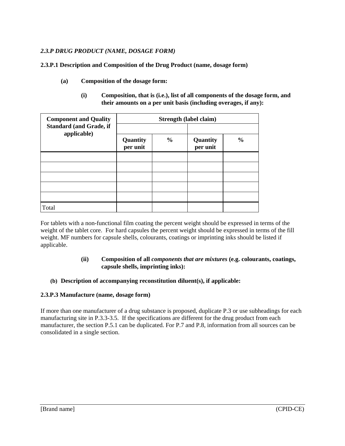# *2.3.P DRUG PRODUCT (NAME, DOSAGE FORM)*

**2.3.P.1 Description and Composition of the Drug Product (name, dosage form)** 

- **(a) Composition of the dosage form:**
	- **(i) Composition, that is (i.e.), list of all components of the dosage form, and their amounts on a per unit basis (including overages, if any):**

| <b>Component and Quality</b><br><b>Standard (and Grade, if</b><br>applicable) | Strength (label claim) |               |                      |               |
|-------------------------------------------------------------------------------|------------------------|---------------|----------------------|---------------|
|                                                                               | Quantity<br>per unit   | $\frac{0}{0}$ | Quantity<br>per unit | $\frac{0}{0}$ |
|                                                                               |                        |               |                      |               |
|                                                                               |                        |               |                      |               |
|                                                                               |                        |               |                      |               |
|                                                                               |                        |               |                      |               |
|                                                                               |                        |               |                      |               |
| Total                                                                         |                        |               |                      |               |

For tablets with a non-functional film coating the percent weight should be expressed in terms of the weight of the tablet core. For hard capsules the percent weight should be expressed in terms of the fill weight. MF numbers for capsule shells, colourants, coatings or imprinting inks should be listed if applicable.

## **(ii) Composition of all** *components that are mixtures* **(e.g. colourants, coatings, capsule shells, imprinting inks):**

## **(b) Description of accompanying reconstitution diluent(s), if applicable:**

## **2.3.P.3 Manufacture (name, dosage form)**

If more than one manufacturer of a drug substance is proposed, duplicate P.3 or use subheadings for each manufacturing site in P.3.3-3.5. If the specifications are different for the drug product from each manufacturer, the section P.5.1 can be duplicated. For P.7 and P.8, information from all sources can be consolidated in a single section.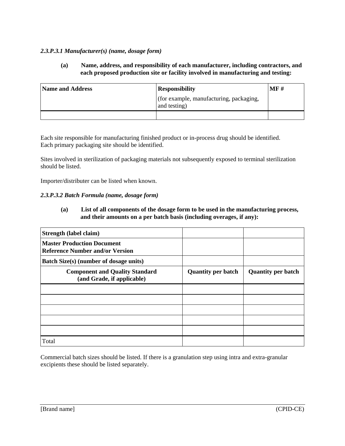# *2.3.P.3.1 Manufacturer(s) (name, dosage form)*

**(a) Name, address, and responsibility of each manufacturer, including contractors, and each proposed production site or facility involved in manufacturing and testing:**

| <b>Name and Address</b> | <b>Responsibility</b>                                   | MF# |
|-------------------------|---------------------------------------------------------|-----|
|                         | (for example, manufacturing, packaging,<br>and testing) |     |
|                         |                                                         |     |

Each site responsible for manufacturing finished product or in-process drug should be identified. Each primary packaging site should be identified.

Sites involved in sterilization of packaging materials not subsequently exposed to terminal sterilization should be listed.

Importer/distributer can be listed when known.

## *2.3.P.3.2 Batch Formula (name, dosage form)*

**(a) List of all components of the dosage form to be used in the manufacturing process, and their amounts on a per batch basis (including overages, if any):**

| Strength (label claim)                                                      |                           |                           |
|-----------------------------------------------------------------------------|---------------------------|---------------------------|
| <b>Master Production Document</b><br><b>Reference Number and/or Version</b> |                           |                           |
| Batch Size(s) (number of dosage units)                                      |                           |                           |
| <b>Component and Quality Standard</b><br>(and Grade, if applicable)         | <b>Quantity per batch</b> | <b>Quantity per batch</b> |
|                                                                             |                           |                           |
|                                                                             |                           |                           |
|                                                                             |                           |                           |
|                                                                             |                           |                           |
|                                                                             |                           |                           |
| Total                                                                       |                           |                           |

Commercial batch sizes should be listed. If there is a granulation step using intra and extra-granular excipients these should be listed separately.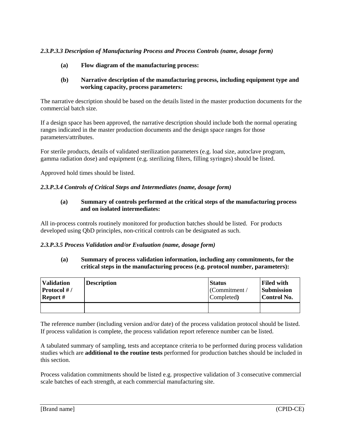# *2.3.P.3.3 Description of Manufacturing Process and Process Controls (name, dosage form)*

**(a) Flow diagram of the manufacturing process:**

# **(b) Narrative description of the manufacturing process, including equipment type and working capacity, process parameters:**

The narrative description should be based on the details listed in the master production documents for the commercial batch size.

If a design space has been approved, the narrative description should include both the normal operating ranges indicated in the master production documents and the design space ranges for those parameters/attributes.

For sterile products, details of validated sterilization parameters (e.g. load size, autoclave program, gamma radiation dose) and equipment (e.g. sterilizing filters, filling syringes) should be listed.

Approved hold times should be listed.

## *2.3.P.3.4 Controls of Critical Steps and Intermediates (name, dosage form)*

# **(a) Summary of controls performed at the critical steps of the manufacturing process and on isolated intermediates:**

All in-process controls routinely monitored for production batches should be listed. For products developed using QbD principles, non-critical controls can be designated as such.

## *2.3.P.3.5 Process Validation and/or Evaluation (name, dosage form)*

## **(a) Summary of process validation information, including any commitments, for the critical steps in the manufacturing process (e.g. protocol number, parameters):**

| <b>Validation</b> | <b>Description</b> | <b>Status</b> | <b>Filed with</b> |
|-------------------|--------------------|---------------|-------------------|
| Protocol #/       |                    | (Commitment/  | <b>Submission</b> |
| Report #          |                    | Completed)    | Control No.       |
|                   |                    |               |                   |

The reference number (including version and/or date) of the process validation protocol should be listed. If process validation is complete, the process validation report reference number can be listed.

A tabulated summary of sampling, tests and acceptance criteria to be performed during process validation studies which are **additional to the routine tests** performed for production batches should be included in this section.

Process validation commitments should be listed e.g. prospective validation of 3 consecutive commercial scale batches of each strength, at each commercial manufacturing site.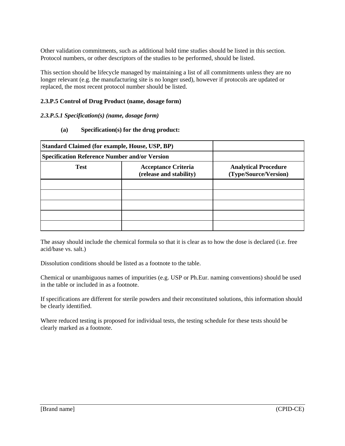Other validation commitments, such as additional hold time studies should be listed in this section. Protocol numbers, or other descriptors of the studies to be performed, should be listed.

This section should be lifecycle managed by maintaining a list of all commitments unless they are no longer relevant (e.g. the manufacturing site is no longer used), however if protocols are updated or replaced, the most recent protocol number should be listed.

# **2.3.P.5 Control of Drug Product (name, dosage form)**

## *2.3.P.5.1 Specification(s) (name, dosage form)*

**(a) Specification(s) for the drug product:**

| <b>Standard Claimed (for example, House, USP, BP)</b><br><b>Specification Reference Number and/or Version</b> |                                                       |                                                      |
|---------------------------------------------------------------------------------------------------------------|-------------------------------------------------------|------------------------------------------------------|
|                                                                                                               |                                                       |                                                      |
| <b>Test</b>                                                                                                   | <b>Acceptance Criteria</b><br>(release and stability) | <b>Analytical Procedure</b><br>(Type/Source/Version) |
|                                                                                                               |                                                       |                                                      |
|                                                                                                               |                                                       |                                                      |
|                                                                                                               |                                                       |                                                      |
|                                                                                                               |                                                       |                                                      |
|                                                                                                               |                                                       |                                                      |

The assay should include the chemical formula so that it is clear as to how the dose is declared (i.e. free acid/base vs. salt.)

Dissolution conditions should be listed as a footnote to the table.

Chemical or unambiguous names of impurities (e.g. USP or Ph.Eur. naming conventions) should be used in the table or included in as a footnote.

If specifications are different for sterile powders and their reconstituted solutions, this information should be clearly identified.

Where reduced testing is proposed for individual tests, the testing schedule for these tests should be clearly marked as a footnote.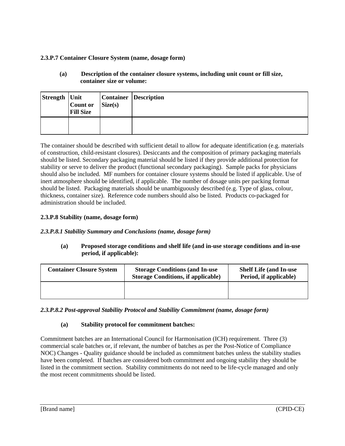# **2.3.P.7 Container Closure System (name, dosage form)**

# **(a) Description of the container closure systems, including unit count or fill size, container size or volume:**

| Strength   Unit | Count or<br><b>Fill Size</b> | Size(s) | <b>Container Description</b> |
|-----------------|------------------------------|---------|------------------------------|
|                 |                              |         |                              |

The container should be described with sufficient detail to allow for adequate identification (e.g. materials of construction, child-resistant closures). Desiccants and the composition of primary packaging materials should be listed. Secondary packaging material should be listed if they provide additional protection for stability or serve to deliver the product (functional secondary packaging). Sample packs for physicians should also be included. MF numbers for container closure systems should be listed if applicable. Use of inert atmosphere should be identified, if applicable. The number of dosage units per packing format should be listed. Packaging materials should be unambiguously described (e.g. Type of glass, colour, thickness, container size). Reference code numbers should also be listed. Products co-packaged for administration should be included.

# **2.3.P.8 Stability (name, dosage form)**

# *2.3.P.8.1 Stability Summary and Conclusions (name, dosage form)*

**(a) Proposed storage conditions and shelf life (and in-use storage conditions and in-use period, if applicable):**

| <b>Container Closure System</b> | <b>Storage Conditions (and In-use)</b><br><b>Storage Conditions, if applicable)</b> | <b>Shelf Life (and In-use)</b><br>Period, if applicable) |
|---------------------------------|-------------------------------------------------------------------------------------|----------------------------------------------------------|
|                                 |                                                                                     |                                                          |

# *2.3.P.8.2 Post-approval Stability Protocol and Stability Commitment (name, dosage form)*

# **(a) Stability protocol for commitment batches:**

Commitment batches are an International Council for Harmonisation (ICH) requirement. Three (3) commercial scale batches or, if relevant, the number of batches as per the Post-Notice of Compliance NOC) Changes - Quality guidance should be included as commitment batches unless the stability studies have been completed. If batches are considered both commitment and ongoing stability they should be listed in the commitment section. Stability commitments do not need to be life-cycle managed and only the most recent commitments should be listed.